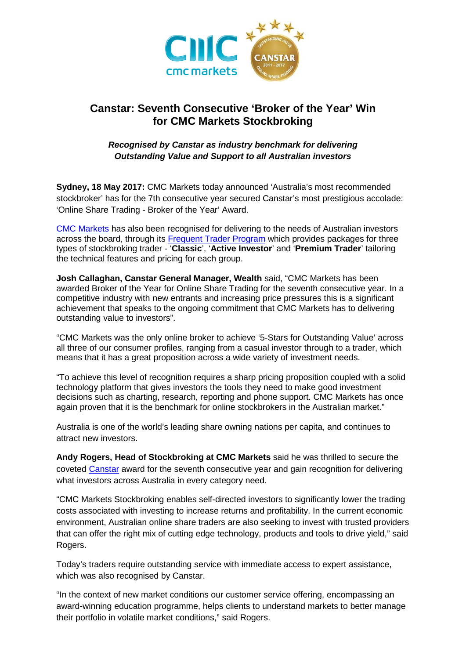

# **Canstar: Seventh Consecutive 'Broker of the Year' Win for CMC Markets Stockbroking**

## *Recognised by Canstar as industry benchmark for delivering Outstanding Value and Support to all Australian investors*

**Sydney, 18 May 2017:** CMC Markets today announced 'Australia's most recommended stockbroker' has for the 7th consecutive year secured Canstar's most prestigious accolade: 'Online Share Trading - Broker of the Year' Award.

[CMC Markets](https://www.cmcmarkets.com/en-au/stockbroking) has also been recognised for delivering to the needs of Australian investors across the board, through its [Frequent Trader Program](https://www.cmcmarkets.com/en-au/stockbroking/trader-programs) which provides packages for three types of stockbroking trader - '**Classic**', '**Active Investor**' and '**Premium Trader**' tailoring the technical features and pricing for each group.

**Josh Callaghan, Canstar General Manager, Wealth** said, "CMC Markets has been awarded Broker of the Year for Online Share Trading for the seventh consecutive year. In a competitive industry with new entrants and increasing price pressures this is a significant achievement that speaks to the ongoing commitment that CMC Markets has to delivering outstanding value to investors".

"CMC Markets was the only online broker to achieve '5-Stars for Outstanding Value' across all three of our consumer profiles, ranging from a casual investor through to a trader, which means that it has a great proposition across a wide variety of investment needs.

"To achieve this level of recognition requires a sharp pricing proposition coupled with a solid technology platform that gives investors the tools they need to make good investment decisions such as charting, research, reporting and phone support. CMC Markets has once again proven that it is the benchmark for online stockbrokers in the Australian market."

Australia is one of the world's leading share owning nations per capita, and continues to attract new investors.

**Andy Rogers, Head of Stockbroking at CMC Markets** said he was thrilled to secure the coveted [Canstar](https://www.canstar.com.au/online-trading/) award for the seventh consecutive year and gain recognition for delivering what investors across Australia in every category need.

"CMC Markets Stockbroking enables self-directed investors to significantly lower the trading costs associated with investing to increase returns and profitability. In the current economic environment, Australian online share traders are also seeking to invest with trusted providers that can offer the right mix of cutting edge technology, products and tools to drive yield," said Rogers.

Today's traders require outstanding service with immediate access to expert assistance, which was also recognised by Canstar.

"In the context of new market conditions our customer service offering, encompassing an award-winning education programme, helps clients to understand markets to better manage their portfolio in volatile market conditions," said Rogers.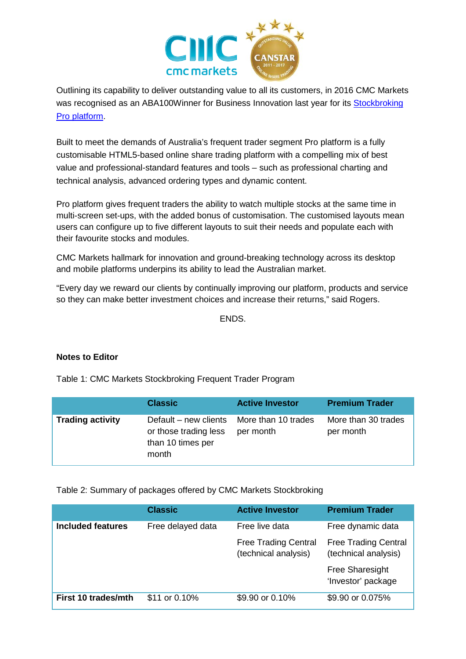

Outlining its capability to deliver outstanding value to all its customers, in 2016 CMC Markets was recognised as an ABA100Winner for Business Innovation last year for its [Stockbroking](https://www.cmcmarkets.com/en-au/platform/stockbroking-pro-platform)  [Pro platform.](https://www.cmcmarkets.com/en-au/platform/stockbroking-pro-platform)

Built to meet the demands of Australia's frequent trader segment Pro platform is a fully customisable HTML5-based online share trading platform with a compelling mix of best value and professional-standard features and tools – such as professional charting and technical analysis, advanced ordering types and dynamic content.

Pro platform gives frequent traders the ability to watch multiple stocks at the same time in multi-screen set-ups, with the added bonus of customisation. The customised layouts mean users can configure up to five different layouts to suit their needs and populate each with their favourite stocks and modules.

CMC Markets hallmark for innovation and ground-breaking technology across its desktop and mobile platforms underpins its ability to lead the Australian market.

"Every day we reward our clients by continually improving our platform, products and service so they can make better investment choices and increase their returns," said Rogers.

ENDS.

## **Notes to Editor**

Table 1: CMC Markets Stockbroking Frequent Trader Program

|                         | <b>Classic</b>                                                                                   | <b>Active Investor</b> | <b>Premium Trader</b>            |
|-------------------------|--------------------------------------------------------------------------------------------------|------------------------|----------------------------------|
| <b>Trading activity</b> | Default – new clients More than 10 trades<br>or those trading less<br>than 10 times per<br>month | per month              | More than 30 trades<br>per month |

## Table 2: Summary of packages offered by CMC Markets Stockbroking

|                          | <b>Classic</b>    | <b>Active Investor</b>                              | <b>Premium Trader</b>                               |
|--------------------------|-------------------|-----------------------------------------------------|-----------------------------------------------------|
| <b>Included features</b> | Free delayed data | Free live data                                      | Free dynamic data                                   |
|                          |                   | <b>Free Trading Central</b><br>(technical analysis) | <b>Free Trading Central</b><br>(technical analysis) |
|                          |                   |                                                     | <b>Free Sharesight</b><br>'Investor' package        |
| First 10 trades/mth      | \$11 or 0.10%     | \$9.90 or 0.10%                                     | \$9.90 or 0.075%                                    |